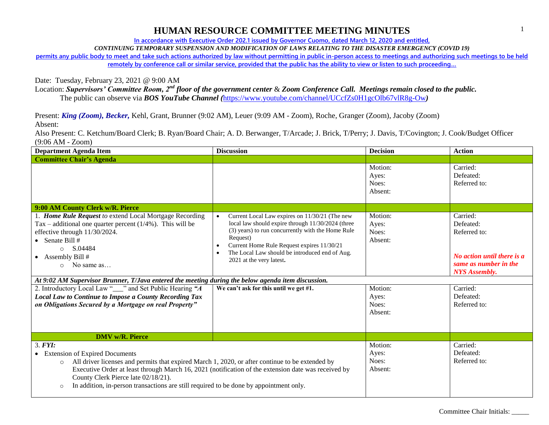**In accordance with Executive Order 202.1 issued by Governor Cuomo, dated March 12, 2020 and entitled,**

*CONTINUING TEMPORARY SUSPENSION AND MODIFICATION OF LAWS RELATING TO THE DISASTER EMERGENCY (COVID 19)*

**permits any public body to meet and take such actions authorized by law without permitting in public in-person access to meetings and authorizing such meetings to be held remotely by conference call or similar service, provided that the public has the ability to view or listen to such proceeding…**

Date: Tuesday, February 23, 2021 @ 9:00 AM

Location: *Supervisors' Committee Room, 2nd floor of the government center* & *Zoom Conference Call. Meetings remain closed to the public.* The public can observe via *BOS YouTube Channel (*<https://www.youtube.com/channel/UCcfZs0H1gcOlb67vlR8g-Ow>*)*

Present: *King (Zoom), Becker,* Kehl, Grant, Brunner (9:02 AM), Leuer (9:09 AM - Zoom), Roche, Granger (Zoom), Jacoby (Zoom) Absent:

| <b>Department Agenda Item</b>                                                                                                                                                                                                                                                                                                                                                                                        | <b>Discussion</b>                                                                                                                                                                                                                                                                                             | <b>Decision</b>                      | <b>Action</b>                                                                                                        |
|----------------------------------------------------------------------------------------------------------------------------------------------------------------------------------------------------------------------------------------------------------------------------------------------------------------------------------------------------------------------------------------------------------------------|---------------------------------------------------------------------------------------------------------------------------------------------------------------------------------------------------------------------------------------------------------------------------------------------------------------|--------------------------------------|----------------------------------------------------------------------------------------------------------------------|
| <b>Committee Chair's Agenda</b>                                                                                                                                                                                                                                                                                                                                                                                      |                                                                                                                                                                                                                                                                                                               |                                      |                                                                                                                      |
|                                                                                                                                                                                                                                                                                                                                                                                                                      |                                                                                                                                                                                                                                                                                                               | Motion:<br>Ayes:<br>Noes:<br>Absent: | Carried:<br>Defeated:<br>Referred to:                                                                                |
| 9:00 AM County Clerk w/R. Pierce                                                                                                                                                                                                                                                                                                                                                                                     |                                                                                                                                                                                                                                                                                                               |                                      |                                                                                                                      |
| 1. Home Rule Request to extend Local Mortgage Recording<br>Tax – additional one quarter percent $(1/4%)$ . This will be<br>effective through 11/30/2024.<br>• Senate Bill $#$<br>S.04484<br>$\circ$<br>• Assembly Bill $#$<br>No same as<br>$\circ$                                                                                                                                                                  | Current Local Law expires on 11/30/21 (The new<br>$\bullet$<br>local law should expire through 11/30/2024 (three<br>(3) years) to run concurrently with the Home Rule<br>Request)<br>Current Home Rule Request expires 11/30/21<br>The Local Law should be introduced end of Aug.<br>2021 at the very latest. | Motion:<br>Ayes:<br>Noes:<br>Absent: | Carried:<br>Defeated:<br>Referred to:<br>No action until there is a<br>same as number in the<br><b>NYS</b> Assembly. |
| At 9:02 AM Supervisor Brunner, T/Java entered the meeting during the below agenda item discussion.                                                                                                                                                                                                                                                                                                                   |                                                                                                                                                                                                                                                                                                               |                                      |                                                                                                                      |
| 2. Introductory Local Law "___" and Set Public Hearing "A<br><b>Local Law to Continue to Impose a County Recording Tax</b><br>on Obligations Secured by a Mortgage on real Property"                                                                                                                                                                                                                                 | We can't ask for this until we get #1.                                                                                                                                                                                                                                                                        | Motion:<br>Ayes:<br>Noes:<br>Absent: | Carried:<br>Defeated:<br>Referred to:                                                                                |
| <b>DMV</b> w/ <b>R</b> . Pierce                                                                                                                                                                                                                                                                                                                                                                                      |                                                                                                                                                                                                                                                                                                               |                                      |                                                                                                                      |
| 3. <b>FYI</b> :<br>• Extension of Expired Documents<br>All driver licenses and permits that expired March 1, 2020, or after continue to be extended by<br>$\circ$<br>Executive Order at least through March 16, 2021 (notification of the extension date was received by<br>County Clerk Pierce late 02/18/21).<br>In addition, in-person transactions are still required to be done by appointment only.<br>$\circ$ |                                                                                                                                                                                                                                                                                                               | Motion:<br>Ayes:<br>Noes:<br>Absent: | Carried:<br>Defeated:<br>Referred to:                                                                                |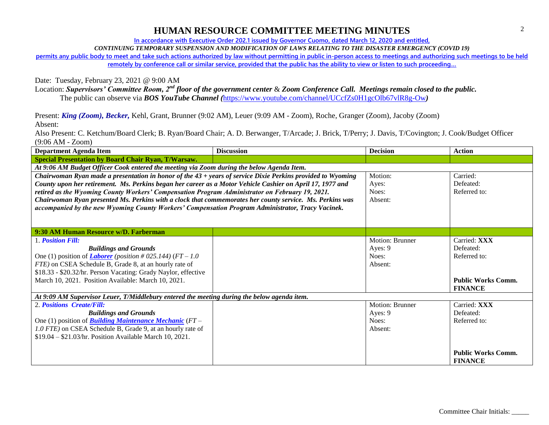**In accordance with Executive Order 202.1 issued by Governor Cuomo, dated March 12, 2020 and entitled,**

*CONTINUING TEMPORARY SUSPENSION AND MODIFICATION OF LAWS RELATING TO THE DISASTER EMERGENCY (COVID 19)*

**permits any public body to meet and take such actions authorized by law without permitting in public in-person access to meetings and authorizing such meetings to be held remotely by conference call or similar service, provided that the public has the ability to view or listen to such proceeding…**

Date: Tuesday, February 23, 2021 @ 9:00 AM

Location: *Supervisors' Committee Room, 2nd floor of the government center* & *Zoom Conference Call. Meetings remain closed to the public.* The public can observe via *BOS YouTube Channel (*<https://www.youtube.com/channel/UCcfZs0H1gcOlb67vlR8g-Ow>*)*

Present: *King (Zoom), Becker,* Kehl, Grant, Brunner (9:02 AM), Leuer (9:09 AM - Zoom), Roche, Granger (Zoom), Jacoby (Zoom) Absent:

| <b>Department Agenda Item</b>                                                                               | <b>Discussion</b> | <b>Decision</b>        | <b>Action</b>             |
|-------------------------------------------------------------------------------------------------------------|-------------------|------------------------|---------------------------|
| <b>Special Presentation by Board Chair Ryan, T/Warsaw.</b>                                                  |                   |                        |                           |
| At 9:06 AM Budget Officer Cook entered the meeting via Zoom during the below Agenda Item.                   |                   |                        |                           |
| Chairwoman Ryan made a presentation in honor of the 43 + years of service Dixie Perkins provided to Wyoming |                   | Motion:                | Carried:                  |
| County upon her retirement. Ms. Perkins began her career as a Motor Vehicle Cashier on April 17, 1977 and   |                   | Ayes:                  | Defeated:                 |
| retired as the Wyoming County Workers' Compensation Program Administrator on February 19, 2021.             |                   | Noes:                  | Referred to:              |
| Chairwoman Ryan presented Ms. Perkins with a clock that commemorates her county service. Ms. Perkins was    |                   | Absent:                |                           |
| accompanied by the new Wyoming County Workers' Compensation Program Administrator, Tracy Vacinek.           |                   |                        |                           |
|                                                                                                             |                   |                        |                           |
|                                                                                                             |                   |                        |                           |
| 9:30 AM Human Resource w/D. Farberman                                                                       |                   | <b>Motion: Brunner</b> | Carried: XXX              |
| 1. Position Fill:                                                                                           |                   |                        |                           |
| <b>Buildings and Grounds</b>                                                                                |                   | Ayes: 9                | Defeated:                 |
| One (1) position of <i>Laborer</i> ( <i>position</i> #025.144) ( $FT - 1.0$                                 |                   | Noes:                  | Referred to:              |
| FTE) on CSEA Schedule B, Grade 8, at an hourly rate of                                                      |                   | Absent:                |                           |
| \$18.33 - \$20.32/hr. Person Vacating: Grady Naylor, effective                                              |                   |                        |                           |
| March 10, 2021. Position Available: March 10, 2021.                                                         |                   |                        | <b>Public Works Comm.</b> |
|                                                                                                             |                   |                        | <b>FINANCE</b>            |
| At 9:09 AM Supervisor Leuer, T/Middlebury entered the meeting during the below agenda item.                 |                   |                        |                           |
| 2. Positions Create/Fill:                                                                                   |                   | Motion: Brunner        | Carried: XXX              |
| <b>Buildings and Grounds</b>                                                                                |                   | Ayes: 9                | Defeated:                 |
| One (1) position of <b>Building Maintenance Mechanic</b> ( $FT-$                                            |                   | Noes:                  | Referred to:              |
| 1.0 FTE) on CSEA Schedule B, Grade 9, at an hourly rate of                                                  |                   | Absent:                |                           |
| \$19.04 - \$21.03/hr. Position Available March 10, 2021.                                                    |                   |                        |                           |
|                                                                                                             |                   |                        |                           |
|                                                                                                             |                   |                        | <b>Public Works Comm.</b> |
|                                                                                                             |                   |                        | <b>FINANCE</b>            |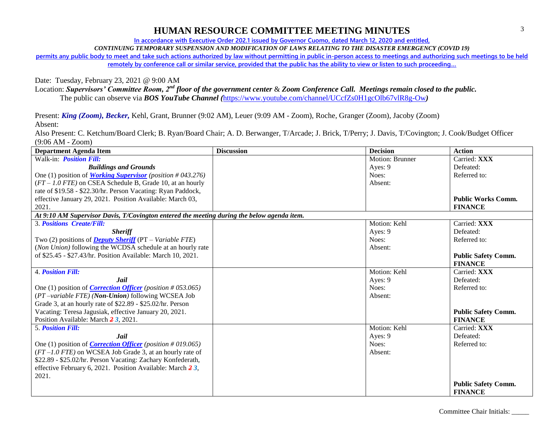**In accordance with Executive Order 202.1 issued by Governor Cuomo, dated March 12, 2020 and entitled,**

*CONTINUING TEMPORARY SUSPENSION AND MODIFICATION OF LAWS RELATING TO THE DISASTER EMERGENCY (COVID 19)*

**permits any public body to meet and take such actions authorized by law without permitting in public in-person access to meetings and authorizing such meetings to be held remotely by conference call or similar service, provided that the public has the ability to view or listen to such proceeding…**

Date: Tuesday, February 23, 2021 @ 9:00 AM

Location: *Supervisors' Committee Room, 2nd floor of the government center* & *Zoom Conference Call. Meetings remain closed to the public.*

The public can observe via *BOS YouTube Channel (*<https://www.youtube.com/channel/UCcfZs0H1gcOlb67vlR8g-Ow>*)*

Present: *King (Zoom), Becker,* Kehl, Grant, Brunner (9:02 AM), Leuer (9:09 AM - Zoom), Roche, Granger (Zoom), Jacoby (Zoom) Absent:

Also Present: C. Ketchum/Board Clerk; B. Ryan/Board Chair; A. D. Berwanger, T/Arcade; J. Brick, T/Perry; J. Davis, T/Covington; J. Cook/Budget Officer (9:06 AM - Zoom)

| <b>Department Agenda Item</b>                                                              | <b>Discussion</b> | <b>Decision</b> | <b>Action</b>              |
|--------------------------------------------------------------------------------------------|-------------------|-----------------|----------------------------|
| Walk-in: <i>Position Fill:</i>                                                             |                   | Motion: Brunner | Carried: XXX               |
| <b>Buildings and Grounds</b>                                                               |                   | Ayes: 9         | Defeated:                  |
| One (1) position of <i>Working Supervisor</i> ( <i>position</i> #043.276)                  |                   | Noes:           | Referred to:               |
| $(FT - 1.0$ FTE) on CSEA Schedule B, Grade 10, at an hourly                                |                   | Absent:         |                            |
| rate of \$19.58 - \$22.30/hr. Person Vacating: Ryan Paddock,                               |                   |                 |                            |
| effective January 29, 2021. Position Available: March 03,                                  |                   |                 | <b>Public Works Comm.</b>  |
| 2021.                                                                                      |                   |                 | <b>FINANCE</b>             |
| At 9:10 AM Supervisor Davis, T/Covington entered the meeting during the below agenda item. |                   |                 |                            |
| <b>3. Positions Create/Fill:</b>                                                           |                   | Motion: Kehl    | Carried: XXX               |
| <b>Sheriff</b>                                                                             |                   | Ayes: 9         | Defeated:                  |
| Two (2) positions of <b>Deputy Sheriff</b> (PT – Variable FTE)                             |                   | Noes:           | Referred to:               |
| (Non Union) following the WCDSA schedule at an hourly rate                                 |                   | Absent:         |                            |
| of \$25.45 - \$27.43/hr. Position Available: March 10, 2021.                               |                   |                 | <b>Public Safety Comm.</b> |
|                                                                                            |                   |                 | <b>FINANCE</b>             |
| <b>4. Position Fill:</b>                                                                   |                   | Motion: Kehl    | Carried: XXX               |
| <b>Jail</b>                                                                                |                   | Ayes: 9         | Defeated:                  |
| One (1) position of <i>Correction Officer</i> ( <i>position</i> #053.065)                  |                   | Noes:           | Referred to:               |
| (PT-variable FTE) (Non-Union) following WCSEA Job                                          |                   | Absent:         |                            |
| Grade 3, at an hourly rate of \$22.89 - \$25.02/hr. Person                                 |                   |                 |                            |
| Vacating: Teresa Jagusiak, effective January 20, 2021.                                     |                   |                 | <b>Public Safety Comm.</b> |
| Position Available: March 23, 2021.                                                        |                   |                 | <b>FINANCE</b>             |
| <b>5. Position Fill:</b>                                                                   |                   | Motion: Kehl    | Carried: XXX               |
| <b>Jail</b>                                                                                |                   | Ayes: 9         | Defeated:                  |
| One (1) position of <i>Correction Officer</i> ( <i>position</i> #019.065)                  |                   | Noes:           | Referred to:               |
| $(FT-1.0$ FTE) on WCSEA Job Grade 3, at an hourly rate of                                  |                   | Absent:         |                            |
| \$22.89 - \$25.02/hr. Person Vacating: Zachary Konfederath,                                |                   |                 |                            |
| effective February 6, 2021. Position Available: March $\frac{2}{3}$ ,                      |                   |                 |                            |
| 2021.                                                                                      |                   |                 |                            |
|                                                                                            |                   |                 | <b>Public Safety Comm.</b> |
|                                                                                            |                   |                 | <b>FINANCE</b>             |

Committee Chair Initials: \_\_\_\_\_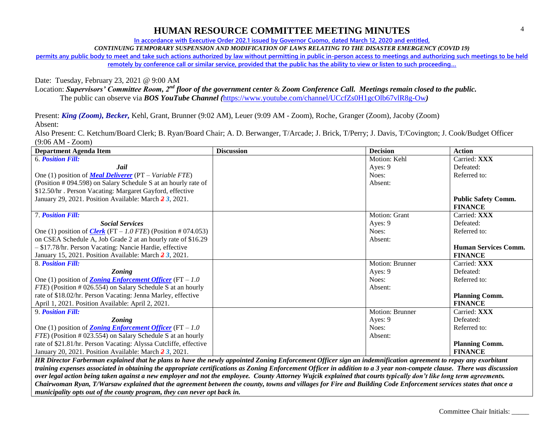**In accordance with Executive Order 202.1 issued by Governor Cuomo, dated March 12, 2020 and entitled,**

*CONTINUING TEMPORARY SUSPENSION AND MODIFICATION OF LAWS RELATING TO THE DISASTER EMERGENCY (COVID 19)*

**permits any public body to meet and take such actions authorized by law without permitting in public in-person access to meetings and authorizing such meetings to be held remotely by conference call or similar service, provided that the public has the ability to view or listen to such proceeding…**

Date: Tuesday, February 23, 2021 @ 9:00 AM

Location: *Supervisors' Committee Room, 2nd floor of the government center* & *Zoom Conference Call. Meetings remain closed to the public.*

The public can observe via *BOS YouTube Channel (*<https://www.youtube.com/channel/UCcfZs0H1gcOlb67vlR8g-Ow>*)*

Present: *King (Zoom), Becker,* Kehl, Grant, Brunner (9:02 AM), Leuer (9:09 AM - Zoom), Roche, Granger (Zoom), Jacoby (Zoom) Absent:

Also Present: C. Ketchum/Board Clerk; B. Ryan/Board Chair; A. D. Berwanger, T/Arcade; J. Brick, T/Perry; J. Davis, T/Covington; J. Cook/Budget Officer (9:06 AM - Zoom)

| <b>Department Agenda Item</b>                                        | <b>Discussion</b> | <b>Decision</b>      | <b>Action</b>               |
|----------------------------------------------------------------------|-------------------|----------------------|-----------------------------|
| <b>6. Position Fill:</b>                                             |                   | Motion: Kehl         | Carried: XXX                |
| Jail                                                                 |                   | Ayes: 9              | Defeated:                   |
| One (1) position of <b>Meal Deliverer</b> (PT – Variable FTE)        |                   | Noes:                | Referred to:                |
| (Position # 094.598) on Salary Schedule S at an hourly rate of       |                   | Absent:              |                             |
| \$12.50/hr. Person Vacating: Margaret Gayford, effective             |                   |                      |                             |
| January 29, 2021. Position Available: March 2 3, 2021.               |                   |                      | <b>Public Safety Comm.</b>  |
|                                                                      |                   |                      | <b>FINANCE</b>              |
| <b>7. Position Fill:</b>                                             |                   | <b>Motion: Grant</b> | Carried: XXX                |
| <b>Social Services</b>                                               |                   | Ayes: 9              | Defeated:                   |
| One (1) position of <i>Clerk</i> (FT – 1.0 FTE) (Position # 074.053) |                   | Noes:                | Referred to:                |
| on CSEA Schedule A, Job Grade 2 at an hourly rate of \$16.29         |                   | Absent:              |                             |
| - \$17.78/hr. Person Vacating: Nancie Hardie, effective              |                   |                      | <b>Human Services Comm.</b> |
| January 15, 2021. Position Available: March 23, 2021.                |                   |                      | <b>FINANCE</b>              |
| 8. Position Fill:                                                    |                   | Motion: Brunner      | Carried: XXX                |
| <b>Zoning</b>                                                        |                   | Ayes: 9              | Defeated:                   |
| One (1) position of <b>Zoning Enforcement Officer</b> (FT $-1.0$     |                   | Noes:                | Referred to:                |
| <i>FTE</i> ) (Position # 026.554) on Salary Schedule S at an hourly  |                   | Absent:              |                             |
| rate of \$18.02/hr. Person Vacating: Jenna Marley, effective         |                   |                      | <b>Planning Comm.</b>       |
| April 1, 2021. Position Available: April 2, 2021.                    |                   |                      | <b>FINANCE</b>              |
| 9. Position Fill:                                                    |                   | Motion: Brunner      | Carried: XXX                |
| <b>Zoning</b>                                                        |                   | Ayes: 9              | Defeated:                   |
| One (1) position of <b>Zoning Enforcement Officer</b> (FT $-1.0$     |                   | Noes:                | Referred to:                |
| FTE) (Position # 023.554) on Salary Schedule S at an hourly          |                   | Absent:              |                             |
| rate of \$21.81/hr. Person Vacating: Alyssa Cutcliffe, effective     |                   |                      | <b>Planning Comm.</b>       |
| January 20, 2021. Position Available: March 2 3, 2021.               |                   |                      | <b>FINANCE</b>              |

*HR Director Farberman explained that he plans to have the newly appointed Zoning Enforcement Officer sign an indemnification agreement to repay any exorbitant training expenses associated in obtaining the appropriate certifications as Zoning Enforcement Officer in addition to a 3 year non-compete clause. There was discussion over legal action being taken against a new employer and not the employee. County Attorney Wujcik explained that courts typically don't like long term agreements. Chairwoman Ryan, T/Warsaw explained that the agreement between the county, towns and villages for Fire and Building Code Enforcement services states that once a municipality opts out of the county program, they can never opt back in.*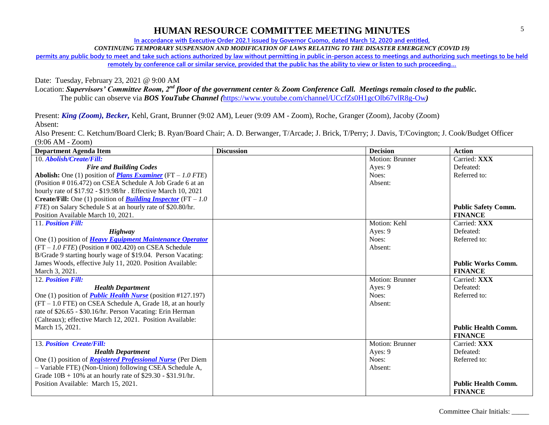**In accordance with Executive Order 202.1 issued by Governor Cuomo, dated March 12, 2020 and entitled,**

*CONTINUING TEMPORARY SUSPENSION AND MODIFICATION OF LAWS RELATING TO THE DISASTER EMERGENCY (COVID 19)*

**permits any public body to meet and take such actions authorized by law without permitting in public in-person access to meetings and authorizing such meetings to be held remotely by conference call or similar service, provided that the public has the ability to view or listen to such proceeding…**

Date: Tuesday, February 23, 2021 @ 9:00 AM

Location: *Supervisors' Committee Room, 2nd floor of the government center* & *Zoom Conference Call. Meetings remain closed to the public.*

The public can observe via *BOS YouTube Channel (*<https://www.youtube.com/channel/UCcfZs0H1gcOlb67vlR8g-Ow>*)*

Present: *King (Zoom), Becker,* Kehl, Grant, Brunner (9:02 AM), Leuer (9:09 AM - Zoom), Roche, Granger (Zoom), Jacoby (Zoom) Absent:

| <b>Department Agenda Item</b>                                                | <b>Discussion</b> | <b>Decision</b>        | <b>Action</b>              |
|------------------------------------------------------------------------------|-------------------|------------------------|----------------------------|
| 10. Abolish/Create/Fill:                                                     |                   | Motion: Brunner        | Carried: XXX               |
| <b>Fire and Building Codes</b>                                               |                   | Ayes: 9                | Defeated:                  |
| <b>Abolish:</b> One (1) position of <b>Plans Examiner</b> (FT – 1.0 FTE)     |                   | Noes:                  | Referred to:               |
| (Position # 016.472) on CSEA Schedule A Job Grade 6 at an                    |                   | Absent:                |                            |
| hourly rate of \$17.92 - \$19.98/hr. Effective March 10, 2021                |                   |                        |                            |
| <b>Create/Fill:</b> One (1) position of <b>Building Inspector</b> (FT – 1.0) |                   |                        |                            |
| FTE) on Salary Schedule S at an hourly rate of \$20.80/hr.                   |                   |                        | <b>Public Safety Comm.</b> |
| Position Available March 10, 2021.                                           |                   |                        | <b>FINANCE</b>             |
| 11. Position Fill:                                                           |                   | Motion: Kehl           | Carried: XXX               |
| Highway                                                                      |                   | Ayes: 9                | Defeated:                  |
| One (1) position of <b>Heavy Equipment Maintenance Operator</b>              |                   | Noes:                  | Referred to:               |
| $(FT - 1.0$ FTE) (Position # 002.420) on CSEA Schedule                       |                   | Absent:                |                            |
| B/Grade 9 starting hourly wage of \$19.04. Person Vacating:                  |                   |                        |                            |
| James Woods, effective July 11, 2020. Position Available:                    |                   |                        | <b>Public Works Comm.</b>  |
| March 3, 2021.                                                               |                   |                        | <b>FINANCE</b>             |
| 12. Position Fill:                                                           |                   | <b>Motion: Brunner</b> | Carried: XXX               |
| <b>Health Department</b>                                                     |                   | Ayes: 9                | Defeated:                  |
| One (1) position of <i>Public Health Nurse</i> (position #127.197)           |                   | Noes:                  | Referred to:               |
| $(FT - 1.0$ FTE) on CSEA Schedule A, Grade 18, at an hourly                  |                   | Absent:                |                            |
| rate of \$26.65 - \$30.16/hr. Person Vacating: Erin Herman                   |                   |                        |                            |
| (Calteaux); effective March 12, 2021. Position Available:                    |                   |                        |                            |
| March 15, 2021.                                                              |                   |                        | <b>Public Health Comm.</b> |
|                                                                              |                   |                        | <b>FINANCE</b>             |
| 13. Position Create/Fill:                                                    |                   | Motion: Brunner        | Carried: XXX               |
| <b>Health Department</b>                                                     |                   | Ayes: 9                | Defeated:                  |
| One (1) position of <i>Registered Professional Nurse</i> (Per Diem           |                   | Noes:                  | Referred to:               |
| - Variable FTE) (Non-Union) following CSEA Schedule A,                       |                   | Absent:                |                            |
| Grade $10B + 10\%$ at an hourly rate of \$29.30 - \$31.91/hr.                |                   |                        |                            |
| Position Available: March 15, 2021.                                          |                   |                        | <b>Public Health Comm.</b> |
|                                                                              |                   |                        | <b>FINANCE</b>             |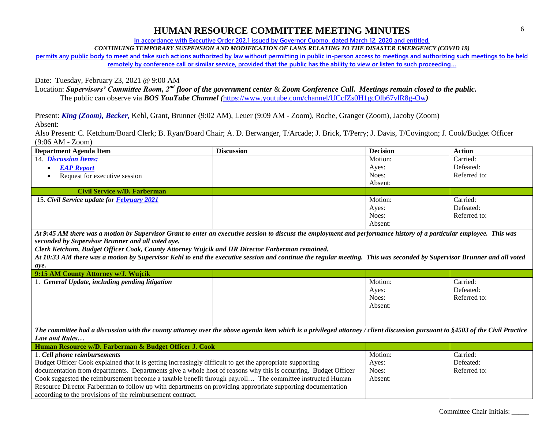**In accordance with Executive Order 202.1 issued by Governor Cuomo, dated March 12, 2020 and entitled,**

*CONTINUING TEMPORARY SUSPENSION AND MODIFICATION OF LAWS RELATING TO THE DISASTER EMERGENCY (COVID 19)*

**permits any public body to meet and take such actions authorized by law without permitting in public in-person access to meetings and authorizing such meetings to be held remotely by conference call or similar service, provided that the public has the ability to view or listen to such proceeding…**

Date: Tuesday, February 23, 2021 @ 9:00 AM

Location: *Supervisors' Committee Room, 2nd floor of the government center* & *Zoom Conference Call. Meetings remain closed to the public.* The public can observe via *BOS YouTube Channel (*<https://www.youtube.com/channel/UCcfZs0H1gcOlb67vlR8g-Ow>*)*

Present: *King (Zoom), Becker,* Kehl, Grant, Brunner (9:02 AM), Leuer (9:09 AM - Zoom), Roche, Granger (Zoom), Jacoby (Zoom) Absent:

Also Present: C. Ketchum/Board Clerk; B. Ryan/Board Chair; A. D. Berwanger, T/Arcade; J. Brick, T/Perry; J. Davis, T/Covington; J. Cook/Budget Officer (9:06 AM - Zoom)

| <b>Department Agenda Item</b>                     | <b>Discussion</b> | <b>Decision</b> | <b>Action</b> |
|---------------------------------------------------|-------------------|-----------------|---------------|
| 14. <i>Discussion Items:</i>                      |                   | Motion:         | Carried:      |
| <b>EAP Report</b><br>$\bullet$                    |                   | Ayes:           | Defeated:     |
| Request for executive session                     |                   | Noes:           | Referred to:  |
|                                                   |                   | Absent:         |               |
| Civil Service w/D. Farberman                      |                   |                 |               |
| 15. Civil Service update for <b>February 2021</b> |                   | Motion:         | Carried:      |
|                                                   |                   | Ayes:           | Defeated:     |
|                                                   |                   | Noes:           | Referred to:  |
|                                                   |                   | Absent:         |               |

*At 9:45 AM there was a motion by Supervisor Grant to enter an executive session to discuss the employment and performance history of a particular employee. This was seconded by Supervisor Brunner and all voted aye.*

*Clerk Ketchum, Budget Officer Cook, County Attorney Wujcik and HR Director Farberman remained.*

*At 10:33 AM there was a motion by Supervisor Kehl to end the executive session and continue the regular meeting. This was seconded by Supervisor Brunner and all voted aye.*

| 9:15 AM County Attorney w/J. Wujcik             |         |              |
|-------------------------------------------------|---------|--------------|
| 1. General Update, including pending litigation | Motion: | Carried:     |
|                                                 | Ayes:   | Defeated:    |
|                                                 | Noes:   | Referred to: |
|                                                 | Absent: |              |
|                                                 |         |              |
|                                                 |         |              |

*The committee had a discussion with the county attorney over the above agenda item which is a privileged attorney / client discussion pursuant to §4503 of the Civil Practice Law and Rules…*

| Human Resource w/D. Farberman & Budget Officer J. Cook                                                         |         |              |
|----------------------------------------------------------------------------------------------------------------|---------|--------------|
| 1. Cell phone reimbursements                                                                                   | Motion: | Carried:     |
| Budget Officer Cook explained that it is getting increasingly difficult to get the appropriate supporting      | Ayes:   | Defeated:    |
| documentation from departments. Departments give a whole host of reasons why this is occurring. Budget Officer | Noes:   | Referred to: |
| Cook suggested the reimbursement become a taxable benefit through payroll The committee instructed Human       | Absent: |              |
| Resource Director Farberman to follow up with departments on providing appropriate supporting documentation    |         |              |
| according to the provisions of the reimbursement contract.                                                     |         |              |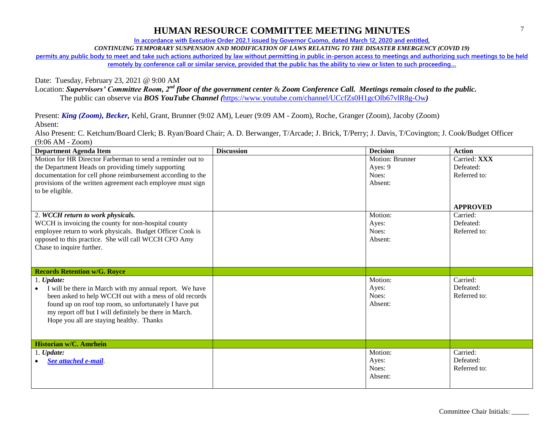**In accordance with Executive Order 202.1 issued by Governor Cuomo, dated March 12, 2020 and entitled,**

*CONTINUING TEMPORARY SUSPENSION AND MODIFICATION OF LAWS RELATING TO THE DISASTER EMERGENCY (COVID 19)*

**permits any public body to meet and take such actions authorized by law without permitting in public in-person access to meetings and authorizing such meetings to be held remotely by conference call or similar service, provided that the public has the ability to view or listen to such proceeding…**

Date: Tuesday, February 23, 2021 @ 9:00 AM

Location: *Supervisors' Committee Room, 2nd floor of the government center* & *Zoom Conference Call. Meetings remain closed to the public.* The public can observe via *BOS YouTube Channel (*<https://www.youtube.com/channel/UCcfZs0H1gcOlb67vlR8g-Ow>*)*

Present: *King (Zoom), Becker,* Kehl, Grant, Brunner (9:02 AM), Leuer (9:09 AM - Zoom), Roche, Granger (Zoom), Jacoby (Zoom) Absent:

| <b>Department Agenda Item</b>                               | <b>Discussion</b> | <b>Decision</b>        | <b>Action</b>   |
|-------------------------------------------------------------|-------------------|------------------------|-----------------|
| Motion for HR Director Farberman to send a reminder out to  |                   | <b>Motion: Brunner</b> | Carried: XXX    |
| the Department Heads on providing timely supporting         |                   | Ayes: 9                | Defeated:       |
| documentation for cell phone reimbursement according to the |                   | Noes:                  | Referred to:    |
| provisions of the written agreement each employee must sign |                   | Absent:                |                 |
| to be eligible.                                             |                   |                        |                 |
|                                                             |                   |                        |                 |
|                                                             |                   |                        | <b>APPROVED</b> |
| 2. WCCH return to work physicals.                           |                   | Motion:                | Carried:        |
| WCCH is invoicing the county for non-hospital county        |                   | Ayes:                  | Defeated:       |
| employee return to work physicals. Budget Officer Cook is   |                   | Noes:                  | Referred to:    |
| opposed to this practice. She will call WCCH CFO Amy        |                   | Absent:                |                 |
| Chase to inquire further.                                   |                   |                        |                 |
|                                                             |                   |                        |                 |
|                                                             |                   |                        |                 |
| <b>Records Retention w/G. Royce</b>                         |                   |                        |                 |
| 1. <i>Update:</i>                                           |                   | Motion:                | Carried:        |
| I will be there in March with my annual report. We have     |                   | Ayes:                  | Defeated:       |
| been asked to help WCCH out with a mess of old records      |                   | Noes:                  | Referred to:    |
| found up on roof top room, so unfortunately I have put      |                   | Absent:                |                 |
| my report off but I will definitely be there in March.      |                   |                        |                 |
| Hope you all are staying healthy. Thanks                    |                   |                        |                 |
|                                                             |                   |                        |                 |
|                                                             |                   |                        |                 |
| Historian w/C. Amrhein                                      |                   |                        |                 |
| $1.$ Update:                                                |                   | Motion:                | Carried:        |
| See attached e-mail.                                        |                   | Ayes:                  | Defeated:       |
|                                                             |                   | Noes:                  | Referred to:    |
|                                                             |                   | Absent:                |                 |
|                                                             |                   |                        |                 |